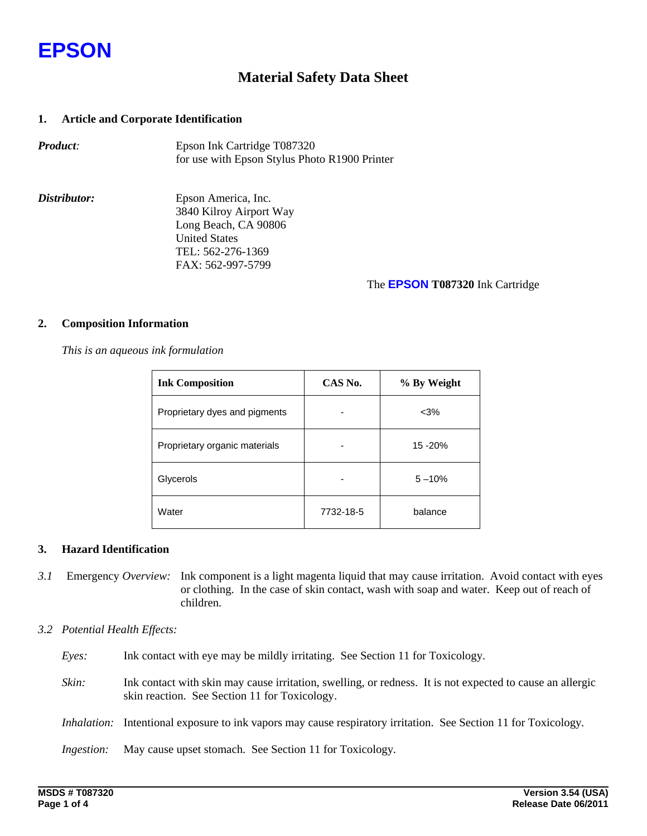

## **Material Safety Data Sheet**

## **1. Article and Corporate Identification**

| <b>Product:</b> | Epson Ink Cartridge T087320                   |
|-----------------|-----------------------------------------------|
|                 | for use with Epson Stylus Photo R1900 Printer |

*Distributor:* Epson America, Inc. 3840 Kilroy Airport Way Long Beach, CA 90806 United States TEL: 562-276-1369 FAX: 562-997-5799

#### The **EPSON T087320** Ink Cartridge

#### **2. Composition Information**

 *This is an aqueous ink formulation* 

| <b>Ink Composition</b>        | CAS No.   | % By Weight |  |
|-------------------------------|-----------|-------------|--|
| Proprietary dyes and pigments |           | $<$ 3%      |  |
| Proprietary organic materials |           | 15 - 20%    |  |
| Glycerols                     |           | $5 - 10%$   |  |
| Water                         | 7732-18-5 | balance     |  |

## **3. Hazard Identification**

*3.1* Emergency *Overview:* Ink component is a light magenta liquid that may cause irritation. Avoid contact with eyes or clothing. In the case of skin contact, wash with soap and water. Keep out of reach of children.

## *3.2 Potential Health Effects:*

- *Eyes:* Ink contact with eye may be mildly irritating. See Section 11 for Toxicology.
- *Skin:* Ink contact with skin may cause irritation, swelling, or redness. It is not expected to cause an allergic skin reaction. See Section 11 for Toxicology.
- *Inhalation:* Intentional exposure to ink vapors may cause respiratory irritation. See Section 11 for Toxicology*.*

*Ingestion:* May cause upset stomach. See Section 11 for Toxicology*.*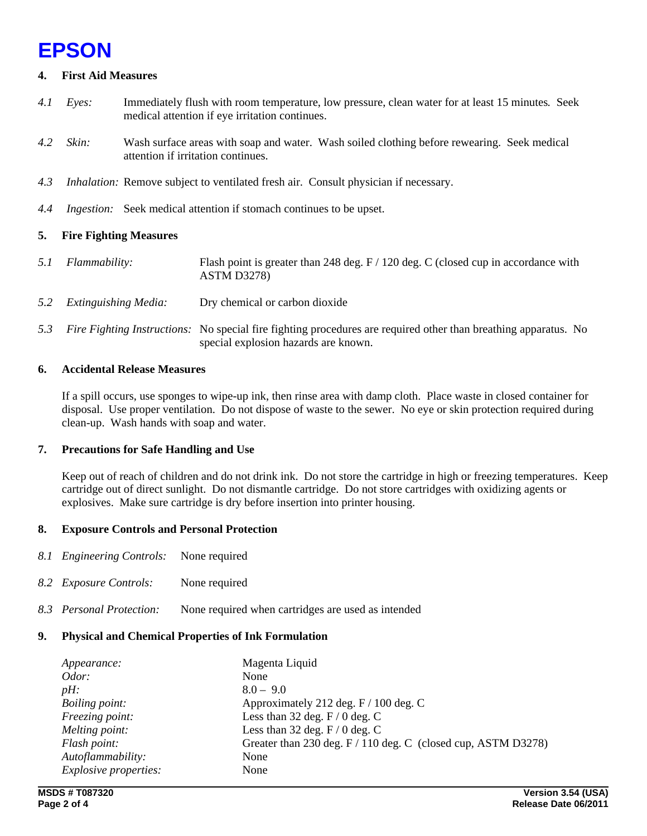## **EPSON**

## **4. First Aid Measures**

- *4.1 Eyes:* Immediately flush with room temperature, low pressure, clean water for at least 15 minutes*.* Seek medical attention if eye irritation continues.
- *4.2 Skin:* Wash surface areas with soap and water. Wash soiled clothing before rewearing. Seek medical attention if irritation continues.
- *4.3 Inhalation:* Remove subject to ventilated fresh air. Consult physician if necessary.
- *4.4 Ingestion:* Seek medical attention if stomach continues to be upset.

## **5. Fire Fighting Measures**

- *5.1 Flammability:* Flash point is greater than 248 deg. F / 120 deg. C (closed cup in accordance with ASTM D3278)
- *5.2 Extinguishing Media:* Dry chemical or carbon dioxide
- *5.3 Fire Fighting Instructions:* No special fire fighting procedures are required other than breathing apparatus. No special explosion hazards are known.

## **6. Accidental Release Measures**

If a spill occurs, use sponges to wipe-up ink, then rinse area with damp cloth. Place waste in closed container for disposal. Use proper ventilation. Do not dispose of waste to the sewer. No eye or skin protection required during clean-up. Wash hands with soap and water.

## **7. Precautions for Safe Handling and Use**

Keep out of reach of children and do not drink ink. Do not store the cartridge in high or freezing temperatures. Keep cartridge out of direct sunlight. Do not dismantle cartridge. Do not store cartridges with oxidizing agents or explosives. Make sure cartridge is dry before insertion into printer housing.

## **8. Exposure Controls and Personal Protection**

- *8.1 Engineering Controls:* None required
- *8.2 Exposure Controls:* None required
- *8.3 Personal Protection:* None required when cartridges are used as intended

## **9. Physical and Chemical Properties of Ink Formulation**

| Appearance:                  | Magenta Liquid                                                |
|------------------------------|---------------------------------------------------------------|
| Odor:                        | None                                                          |
| $pH$ :                       | $8.0 - 9.0$                                                   |
| <i>Boiling point:</i>        | Approximately 212 deg. F / 100 deg. C                         |
| Freezing point:              | Less than 32 deg. $F / 0$ deg. C                              |
| Melting point:               | Less than 32 deg. $F/0$ deg. C                                |
| Flash point:                 | Greater than 230 deg. F / 110 deg. C (closed cup, ASTM D3278) |
| Autoflammability:            | None                                                          |
| <i>Explosive properties:</i> | None                                                          |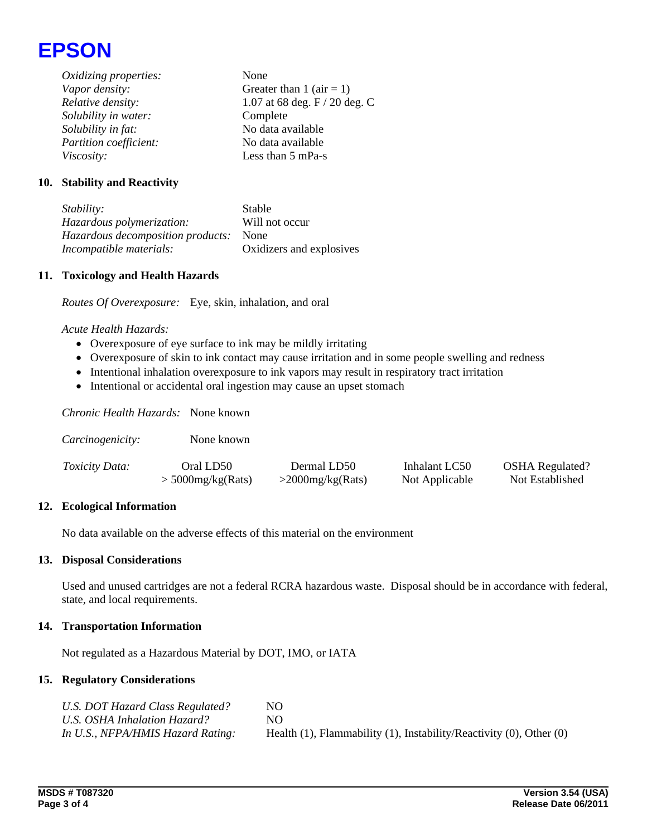

*Oxidizing properties:* None *Vapor density:* Greater than 1 (air = 1) *Relative density:* 1.07 at 68 deg. F / 20 deg. C *Solubility in water:* Complete *Solubility in fat:* No data available *Partition coefficient:* No data available *Viscosity:* Less than 5 mPa-s

## **10. Stability and Reactivity**

*Stability:* Stable *Hazardous polymerization:* Will not occur *Hazardous decomposition products:* None *Incompatible materials:* Oxidizers and explosives

## **11. Toxicology and Health Hazards**

*Routes Of Overexposure:* Eye, skin, inhalation, and oral

#### *Acute Health Hazards:*

- Overexposure of eye surface to ink may be mildly irritating
- Overexposure of skin to ink contact may cause irritation and in some people swelling and redness
- Intentional inhalation overexposure to ink vapors may result in respiratory tract irritation
- Intentional or accidental oral ingestion may cause an upset stomach

*Chronic Health Hazards:* None known

| Carcinogenicity:      | None known          |                     |                |                        |
|-----------------------|---------------------|---------------------|----------------|------------------------|
| <i>Toxicity Data:</i> | Oral LD50           | Dermal LD50         | Inhalant LC50  | <b>OSHA</b> Regulated? |
|                       | $>$ 5000mg/kg(Rats) | $>$ 2000mg/kg(Rats) | Not Applicable | Not Established        |

## **12. Ecological Information**

No data available on the adverse effects of this material on the environment

#### **13. Disposal Considerations**

Used and unused cartridges are not a federal RCRA hazardous waste. Disposal should be in accordance with federal, state, and local requirements.

#### **14. Transportation Information**

Not regulated as a Hazardous Material by DOT, IMO, or IATA

## **15. Regulatory Considerations**

| U.S. DOT Hazard Class Regulated?  | NO.                                                                            |
|-----------------------------------|--------------------------------------------------------------------------------|
| U.S. OSHA Inhalation Hazard?      | NO.                                                                            |
| In U.S., NFPA/HMIS Hazard Rating: | Health $(1)$ , Flammability $(1)$ , Instability/Reactivity $(0)$ , Other $(0)$ |